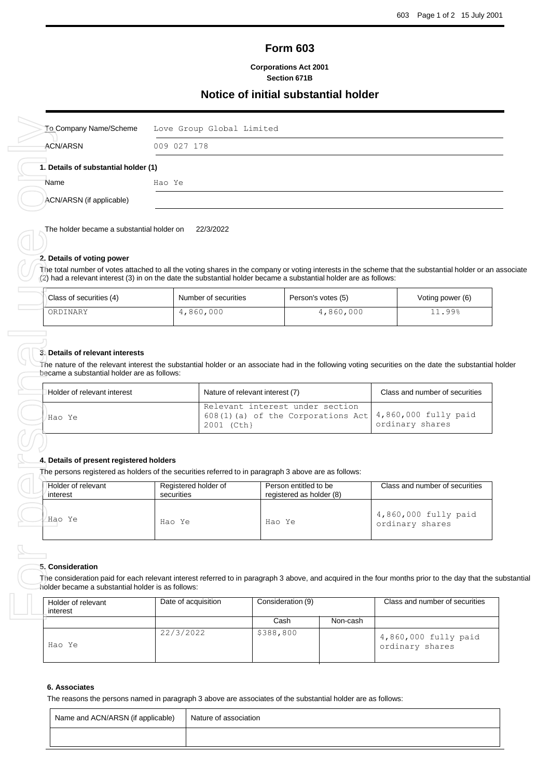# **Form 603**

#### **Corporations Act 2001 Section 671B**

## **Notice of initial substantial holder**

|                                                                                                                                                                                                                                                                                                                                                   | 009 027 178                        |                                                 |                   |                                                   |                                         |
|---------------------------------------------------------------------------------------------------------------------------------------------------------------------------------------------------------------------------------------------------------------------------------------------------------------------------------------------------|------------------------------------|-------------------------------------------------|-------------------|---------------------------------------------------|-----------------------------------------|
| 1. Details of substantial holder (1)                                                                                                                                                                                                                                                                                                              |                                    |                                                 |                   |                                                   |                                         |
| Name                                                                                                                                                                                                                                                                                                                                              | Hao Ye                             |                                                 |                   |                                                   |                                         |
| ACN/ARSN (if applicable)                                                                                                                                                                                                                                                                                                                          |                                    |                                                 |                   |                                                   |                                         |
| The holder became a substantial holder on<br>2. Details of voting power<br>The total number of votes attached to all the voting shares in the company or voting interests in the scheme that the substantial holder or an as<br>(2) had a relevant interest (3) in on the date the substantial holder became a substantial holder are as follows: |                                    | 22/3/2022                                       |                   |                                                   |                                         |
| Class of securities (4)                                                                                                                                                                                                                                                                                                                           |                                    | Number of securities                            |                   | Person's votes (5)                                | Voting power (6)                        |
| ORDINARY                                                                                                                                                                                                                                                                                                                                          |                                    | 4,860,000                                       |                   | 4,860,000                                         | 11.99%                                  |
|                                                                                                                                                                                                                                                                                                                                                   |                                    | 608(1)(a) of the Corporations Act<br>2001 (Cth) |                   | ordinary shares                                   |                                         |
| Hao Ye                                                                                                                                                                                                                                                                                                                                            |                                    |                                                 |                   | Relevant interest under section                   | 4,860,000 fully paid                    |
|                                                                                                                                                                                                                                                                                                                                                   |                                    |                                                 |                   |                                                   |                                         |
| 4. Details of present registered holders<br>The persons registered as holders of the securities referred to in paragraph 3 above are as follows:<br>Holder of relevant<br>interest                                                                                                                                                                | Registered holder of<br>securities |                                                 |                   | Person entitled to be<br>registered as holder (8) | Class and number of securities          |
| Hao Ye                                                                                                                                                                                                                                                                                                                                            | Hao Ye                             |                                                 | Hao Ye            |                                                   | 4,860,000 fully paid<br>ordinary shares |
| 5. Consideration<br>The consideration paid for each relevant interest referred to in paragraph 3 above, and acquired in the four months prior to the day that the su<br>holder became a substantial holder is as follows:<br>Holder of relevant<br>interest                                                                                       | Date of acquisition                |                                                 | Consideration (9) |                                                   | Class and number of securities          |
|                                                                                                                                                                                                                                                                                                                                                   |                                    |                                                 | Cash              | Non-cash                                          |                                         |
| Hao Ye                                                                                                                                                                                                                                                                                                                                            | 22/3/2022                          |                                                 | \$388,800         |                                                   | 4,860,000 fully paid<br>ordinary shares |

### **2. Details of voting power**

| Class of securities (4) | Number of securities | Person's votes (5) | Voting power (6) |
|-------------------------|----------------------|--------------------|------------------|
| ORDINARY                | 4,860,000            | 4,860,000          | 11.99%           |

#### **3. Details of relevant interests**

| Holder of relevant interest | Nature of relevant interest (7)                                                                           | Class and number of securities |
|-----------------------------|-----------------------------------------------------------------------------------------------------------|--------------------------------|
| Hao Ye                      | Relevant interest under section<br>608(1)(a) of the Corporations Act $4,860,000$ fully paid<br>2001 (Cth) | ordinary shares                |

#### **4. Details of present registered holders**

| Holder of relevant<br>interest | Registered holder of<br>securities | Person entitled to be<br>registered as holder (8) | Class and number of securities          |
|--------------------------------|------------------------------------|---------------------------------------------------|-----------------------------------------|
| Hao Ye                         | Hao Ye                             | Hao Ye                                            | 4,860,000 fully paid<br>ordinary shares |

#### **5. Consideration**

The consideration paid for each relevant interest referred to in paragraph 3 above, and acquired in the four months prior to the day that the substantial holder became a substantial holder is as follows:

| Holder of relevant<br>interest | Date of acquisition | Consideration (9) |          | Class and number of securities          |
|--------------------------------|---------------------|-------------------|----------|-----------------------------------------|
|                                |                     | Cash              | Non-cash |                                         |
| Hao Ye                         | 22/3/2022           | \$388,800         |          | 4,860,000 fully paid<br>ordinary shares |

#### **6. Associates**

| Name and ACN/ARSN (if applicable) | Nature of association |
|-----------------------------------|-----------------------|
|                                   |                       |